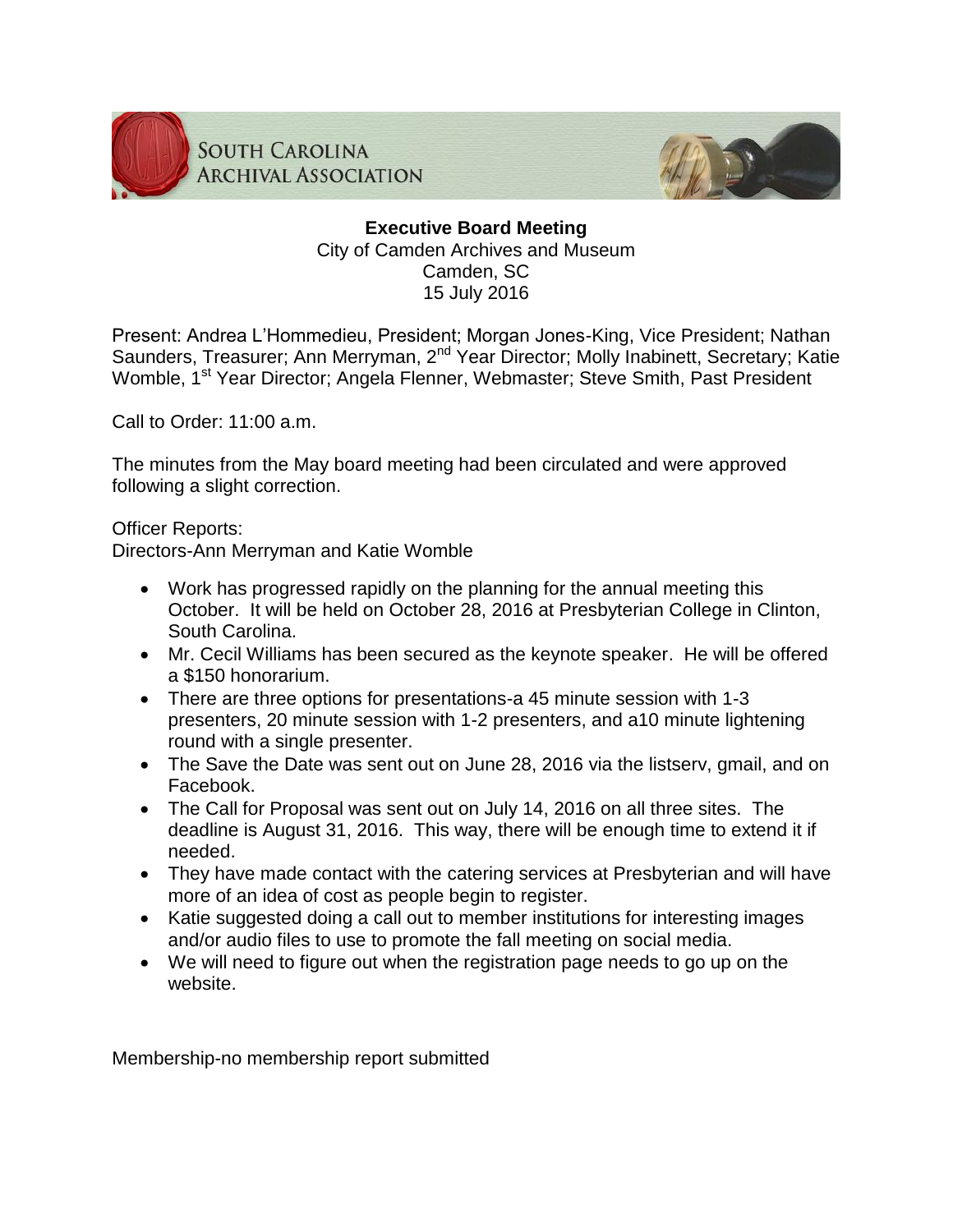

**SOUTH CAROLINA ARCHIVAL ASSOCIATION** 



# **Executive Board Meeting** City of Camden Archives and Museum Camden, SC 15 July 2016

Present: Andrea L'Hommedieu, President; Morgan Jones-King, Vice President; Nathan Saunders, Treasurer; Ann Merryman, 2<sup>nd</sup> Year Director; Molly Inabinett, Secretary; Katie Womble, 1<sup>st</sup> Year Director; Angela Flenner, Webmaster; Steve Smith, Past President

Call to Order: 11:00 a.m.

The minutes from the May board meeting had been circulated and were approved following a slight correction.

Officer Reports:

Directors-Ann Merryman and Katie Womble

- Work has progressed rapidly on the planning for the annual meeting this October. It will be held on October 28, 2016 at Presbyterian College in Clinton, South Carolina.
- Mr. Cecil Williams has been secured as the keynote speaker. He will be offered a \$150 honorarium.
- There are three options for presentations-a 45 minute session with 1-3 presenters, 20 minute session with 1-2 presenters, and a10 minute lightening round with a single presenter.
- The Save the Date was sent out on June 28, 2016 via the listserv, gmail, and on Facebook.
- The Call for Proposal was sent out on July 14, 2016 on all three sites. The deadline is August 31, 2016. This way, there will be enough time to extend it if needed.
- They have made contact with the catering services at Presbyterian and will have more of an idea of cost as people begin to register.
- Katie suggested doing a call out to member institutions for interesting images and/or audio files to use to promote the fall meeting on social media.
- We will need to figure out when the registration page needs to go up on the website.

Membership-no membership report submitted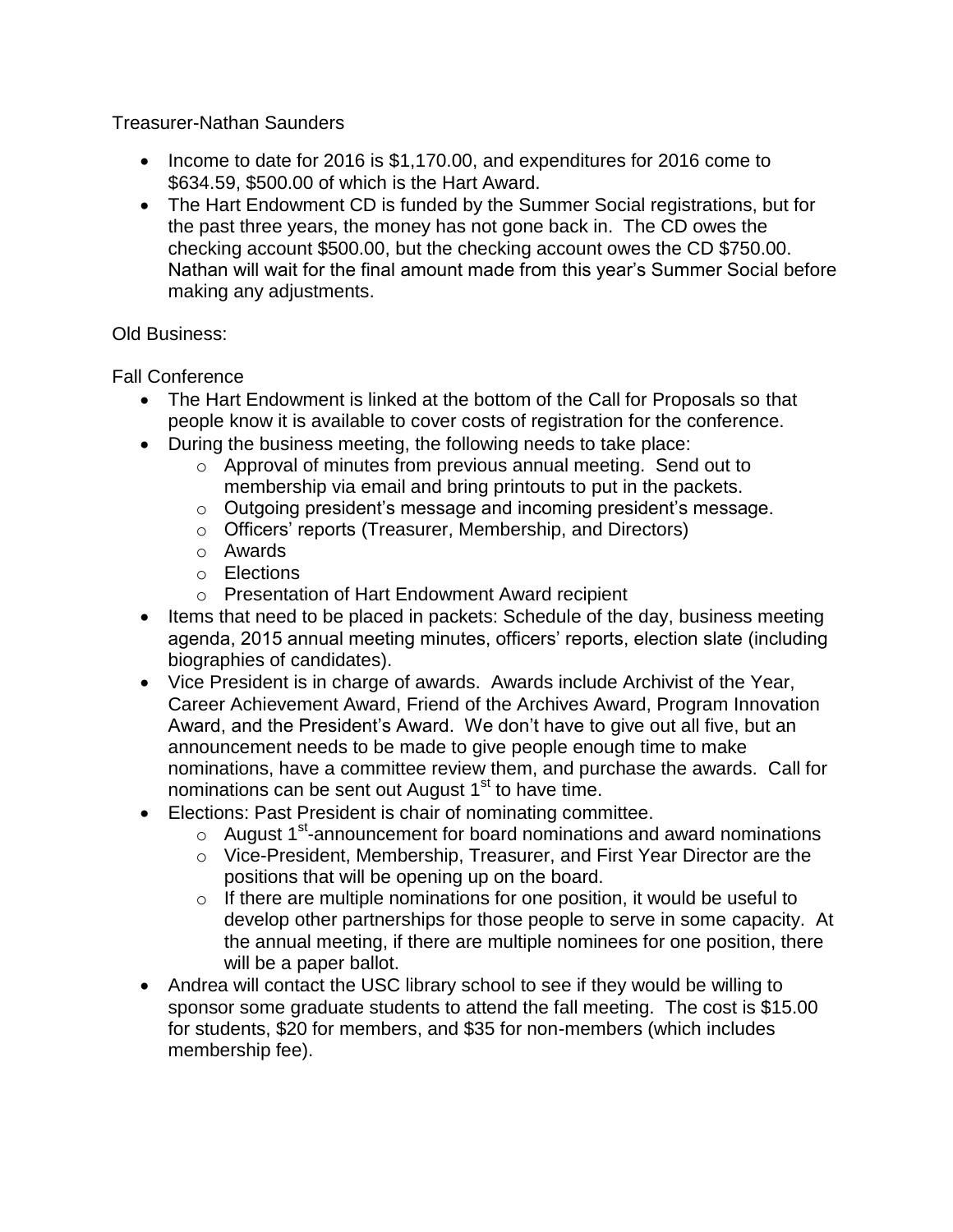## Treasurer-Nathan Saunders

- Income to date for 2016 is \$1,170.00, and expenditures for 2016 come to \$634.59, \$500.00 of which is the Hart Award.
- The Hart Endowment CD is funded by the Summer Social registrations, but for the past three years, the money has not gone back in. The CD owes the checking account \$500.00, but the checking account owes the CD \$750.00. Nathan will wait for the final amount made from this year's Summer Social before making any adjustments.

## Old Business:

Fall Conference

- The Hart Endowment is linked at the bottom of the Call for Proposals so that people know it is available to cover costs of registration for the conference.
- During the business meeting, the following needs to take place:
	- o Approval of minutes from previous annual meeting. Send out to membership via email and bring printouts to put in the packets.
	- o Outgoing president's message and incoming president's message.
	- o Officers' reports (Treasurer, Membership, and Directors)
	- o Awards
	- o Elections
	- o Presentation of Hart Endowment Award recipient
- Items that need to be placed in packets: Schedule of the day, business meeting agenda, 2015 annual meeting minutes, officers' reports, election slate (including biographies of candidates).
- Vice President is in charge of awards. Awards include Archivist of the Year, Career Achievement Award, Friend of the Archives Award, Program Innovation Award, and the President's Award. We don't have to give out all five, but an announcement needs to be made to give people enough time to make nominations, have a committee review them, and purchase the awards. Call for nominations can be sent out August  $1<sup>st</sup>$  to have time.
- Elections: Past President is chair of nominating committee.
	- $\circ$  August 1<sup>st</sup>-announcement for board nominations and award nominations
	- o Vice-President, Membership, Treasurer, and First Year Director are the positions that will be opening up on the board.
	- $\circ$  If there are multiple nominations for one position, it would be useful to develop other partnerships for those people to serve in some capacity. At the annual meeting, if there are multiple nominees for one position, there will be a paper ballot.
- Andrea will contact the USC library school to see if they would be willing to sponsor some graduate students to attend the fall meeting. The cost is \$15.00 for students, \$20 for members, and \$35 for non-members (which includes membership fee).